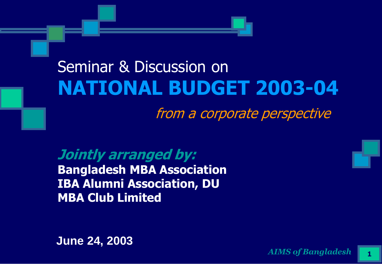#### Seminar & Discussion on **NATIONAL BUDGET 2003-04**

from a corporate perspective

**Jointly arranged by: Bangladesh MBA Association IBA Alumni Association, DU MBA Club Limited**

**June 24, 2003**

*AIMS of Bangladesh* **1**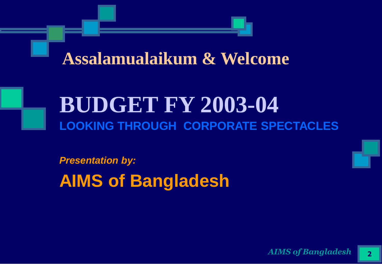#### **Assalamualaikum & Welcome**

#### **BUDGET FY 2003-04 LOOKING THROUGH CORPORATE SPECTACLES**

*Presentation by:* **AIMS of Bangladesh**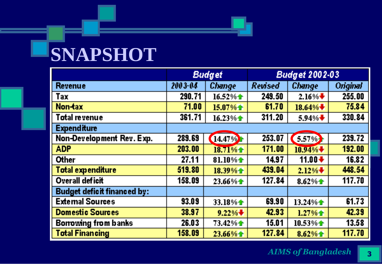# **SNAPSHOT**

|                                    | <b>Budget</b> |               | <b>Budget 2002-03</b> |                                |                 |
|------------------------------------|---------------|---------------|-----------------------|--------------------------------|-----------------|
| <b>Revenue</b>                     | 2003-04       | <b>Change</b> | <b>Revised</b>        | <b>Change</b>                  | <b>Original</b> |
| Tax                                | 290.71        | 16.52%全       | 249.50                | $2.16\%$                       | 255.00          |
| Non-tax                            | 71.00         | 15.07% $\pm$  | 61.70                 | 18.64% $\big\}$                | 75.84           |
| <b>Total revenue</b>               | 361.71        | 16.23%        | 311.20                | $5.94\%$ $\blacktriangleright$ | 330.84          |
| <b>Expenditure</b>                 |               |               |                       |                                |                 |
| Non-Development Rev. Exp.          | 289.69        | 14.47%        | 253.07                | 5.57%)                         | 239.72          |
| <b>ADP</b>                         | 203.00        | $18.71% +$    | 171.00                | $10.94\%$                      | 192.00          |
| <b>Other</b>                       | 27.11         | $81.10\%$     | 14.97                 | $11.00 +$                      | 16.82           |
| <b>Total expenditure</b>           | 519.80        | 18.39%全       | 439.04                | 2.12%                          | 448.54          |
| <b>Overall deficit</b>             | 158.09        | $23.66\%$     | 127.84                | $8.62%$ $\pm$                  | 117.70          |
| <b>Budget deficit financed by:</b> |               |               |                       |                                |                 |
| <b>External Sources</b>            | 93.09         | 33.18%全       | 69.90                 | 13.24%全                        | 61.73           |
| <b>Domestic Sources</b>            | 38.97         | $9.22% +$     | 42.93                 | 1.27%全                         | 42.39           |
| <b>Borrowing from banks</b>        | 26.03         | 73.42%全       | 15.01                 | 10.53%全                        | 13.58           |
| <b>Total Financing</b>             | 158.09        | 23.66%全       | 127.84                | $8.62% +$                      | 117.70          |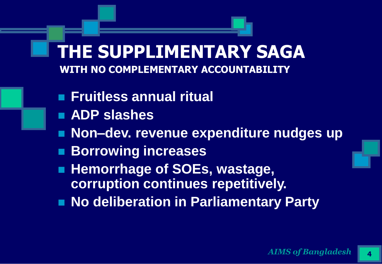#### **THE SUPPLIMENTARY SAGA WITH NO COMPLEMENTARY ACCOUNTABILITY**

- **Fruitless annual ritual**
- **ADP slashes**
- **Non–dev. revenue expenditure nudges up**
- **Borrowing increases**
- **Hemorrhage of SOEs, wastage, corruption continues repetitively.**
- **No deliberation in Parliamentary Party**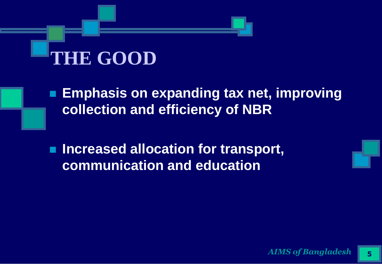# **THE GOOD**

 **Emphasis on expanding tax net, improving collection and efficiency of NBR**

■ Increased allocation for transport, **communication and education**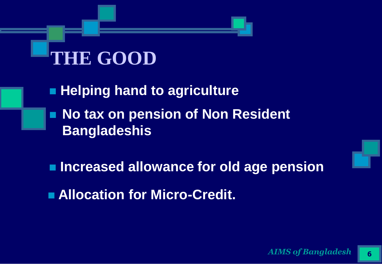## **THE GOOD**

- **Helping hand to agriculture**
- No tax on pension of Non Resident **Bangladeshis**
- **Increased allowance for old age pension**
- **Allocation for Micro-Credit.**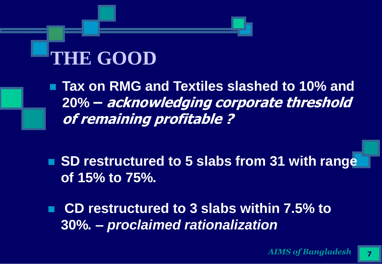#### **THE GOOD**

 **Tax on RMG and Textiles slashed to 10% and 20% – acknowledging corporate threshold of remaining profitable ?**

■ SD restructured to 5 slabs from 31 with range **of 15% to 75%.**

 **CD restructured to 3 slabs within 7.5% to 30%.** *– proclaimed rationalization*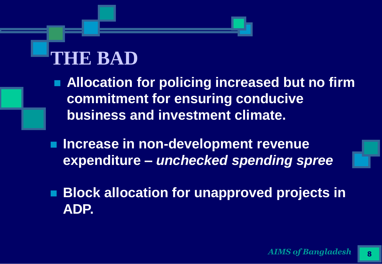- **Allocation for policing increased but no firm commitment for ensuring conducive business and investment climate.**
- **Increase in non-development revenue expenditure –** *unchecked spending spree*
- **Block allocation for unapproved projects in ADP.**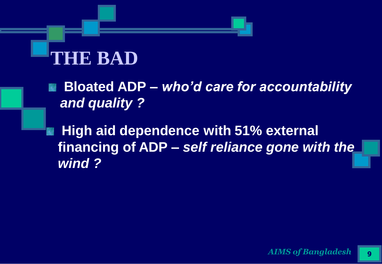**Bloated ADP –** *who'd care for accountability and quality ?* 

**High aid dependence with 51% external financing of ADP –** *self reliance gone with the wind ?*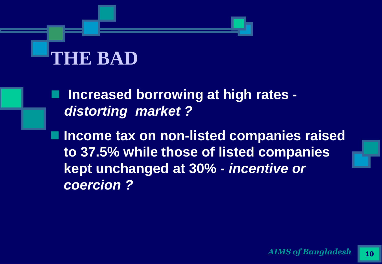**Increased borrowing at high rates**  *distorting market ?*

**Income tax on non-listed companies raised to 37.5% while those of listed companies kept unchanged at 30% -** *incentive or coercion ?*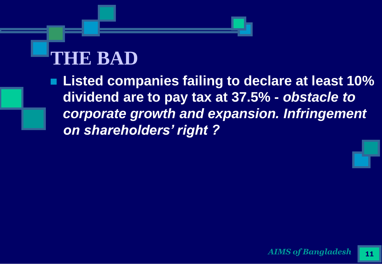**Listed companies failing to declare at least 10% dividend are to pay tax at 37.5% -** *obstacle to corporate growth and expansion. Infringement on shareholders' right ?*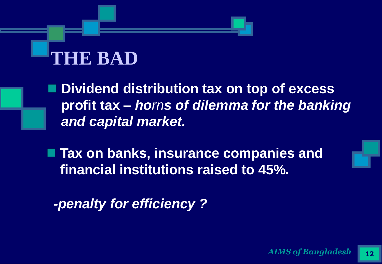**Dividend distribution tax on top of excess profit tax –** *horns of dilemma for the banking and capital market.*

**Tax on banks, insurance companies and financial institutions raised to 45%.** 

*-penalty for efficiency ?*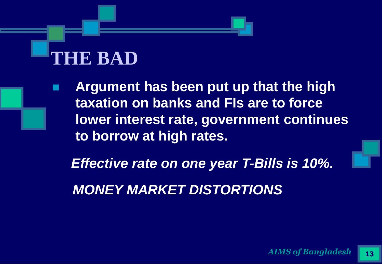**Argument has been put up that the high taxation on banks and FIs are to force lower interest rate, government continues to borrow at high rates.** 

*Effective rate on one year T-Bills is 10%.*

*MONEY MARKET DISTORTIONS*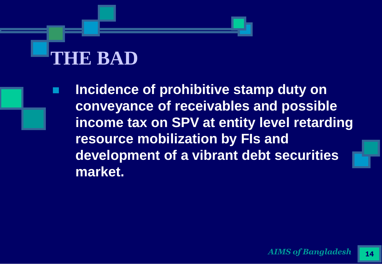**Incidence of prohibitive stamp duty on conveyance of receivables and possible income tax on SPV at entity level retarding resource mobilization by FIs and development of a vibrant debt securities market.**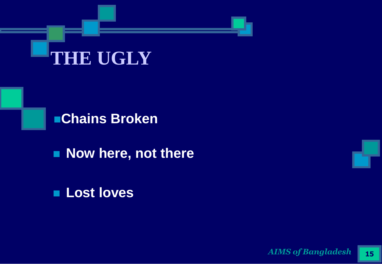



**Now here, not there** 

#### **Lost loves**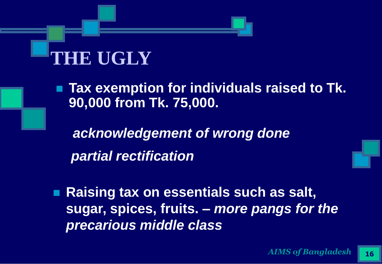■ Tax exemption for individuals raised to Tk. **90,000 from Tk. 75,000.** 

*acknowledgement of wrong done partial rectification*

■ Raising tax on essentials such as salt, **sugar, spices, fruits. –** *more pangs for the precarious middle class*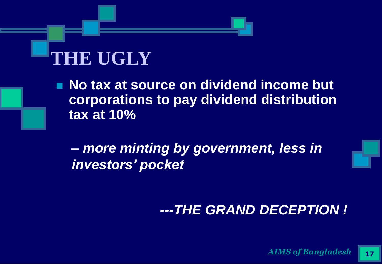**No tax at source on dividend income but corporations to pay dividend distribution tax at 10%**

**–** *more minting by government, less in investors' pocket*

#### *---THE GRAND DECEPTION !*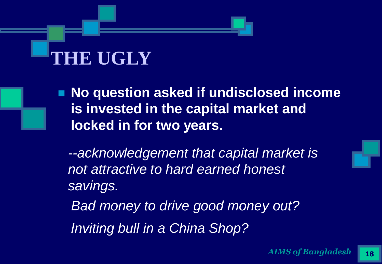**No question asked if undisclosed income is invested in the capital market and locked in for two years.**

*--acknowledgement that capital market is not attractive to hard earned honest savings.* 

*Bad money to drive good money out? Inviting bull in a China Shop?*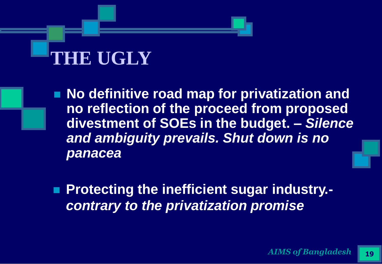**No definitive road map for privatization and no reflection of the proceed from proposed divestment of SOEs in the budget. –** *Silence and ambiguity prevails. Shut down is no panacea*

 **Protecting the inefficient sugar industry.** *contrary to the privatization promise*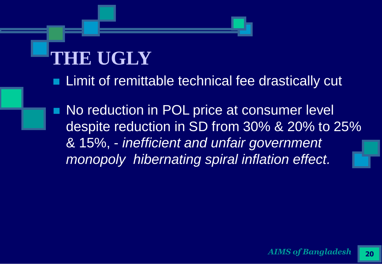- Limit of remittable technical fee drastically cut
- No reduction in POL price at consumer level despite reduction in SD from 30% & 20% to 25% & 15%, - *inefficient and unfair government monopoly hibernating spiral inflation effect.*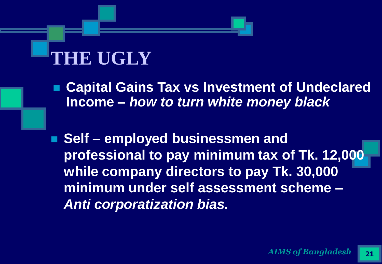**Capital Gains Tax vs Investment of Undeclared Income –** *how to turn white money black* 

■ Self – employed businessmen and **professional to pay minimum tax of Tk. 12,000 while company directors to pay Tk. 30,000 minimum under self assessment scheme –** *Anti corporatization bias.*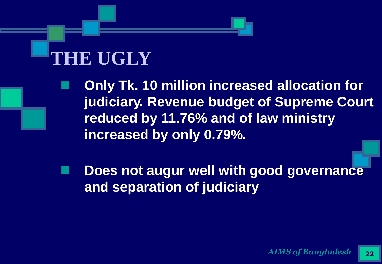- **Only Tk. 10 million increased allocation for judiciary. Revenue budget of Supreme Court reduced by 11.76% and of law ministry increased by only 0.79%.**
- **Does not augur well with good governance and separation of judiciary**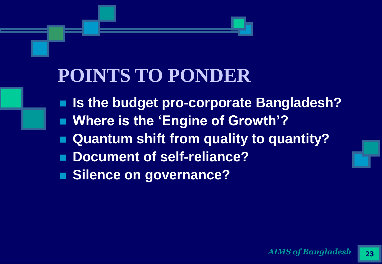#### **POINTS TO PONDER**

 **Is the budget pro-corporate Bangladesh? Where is the 'Engine of Growth'? Quantum shift from quality to quantity? Document of self-reliance? Silence on governance?**